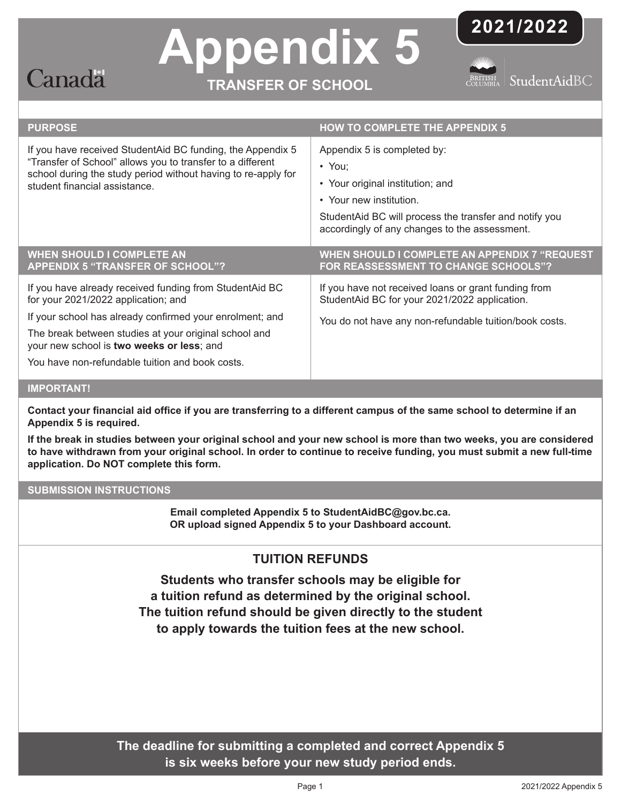

# **Appendix 5**

**TRANSFER OF SCHOOL**



RITISH StudentAidBC

| <b>PURPOSE</b>                                                                                                                                                                                                                                                                                                      | <b>HOW TO COMPLETE THE APPENDIX 5</b>                                                                                                                                                                                 |
|---------------------------------------------------------------------------------------------------------------------------------------------------------------------------------------------------------------------------------------------------------------------------------------------------------------------|-----------------------------------------------------------------------------------------------------------------------------------------------------------------------------------------------------------------------|
| If you have received StudentAid BC funding, the Appendix 5<br>"Transfer of School" allows you to transfer to a different<br>school during the study period without having to re-apply for<br>student financial assistance.                                                                                          | Appendix 5 is completed by:<br>$\cdot$ You;<br>• Your original institution; and<br>• Your new institution.<br>StudentAid BC will process the transfer and notify you<br>accordingly of any changes to the assessment. |
| <b>WHEN SHOULD I COMPLETE AN</b><br><b>APPENDIX 5 "TRANSFER OF SCHOOL"?</b>                                                                                                                                                                                                                                         | WHEN SHOULD I COMPLETE AN APPENDIX 7 "REQUEST<br>FOR REASSESSMENT TO CHANGE SCHOOLS"?                                                                                                                                 |
| If you have already received funding from StudentAid BC<br>for your 2021/2022 application; and<br>If your school has already confirmed your enrolment; and<br>The break between studies at your original school and<br>your new school is two weeks or less; and<br>You have non-refundable tuition and book costs. | If you have not received loans or grant funding from<br>StudentAid BC for your 2021/2022 application.<br>You do not have any non-refundable tuition/book costs.                                                       |
| <b>IMPORTANT!</b>                                                                                                                                                                                                                                                                                                   |                                                                                                                                                                                                                       |

### **Contact your financial aid office if you are transferring to a different campus of the same school to determine if an Appendix 5 is required.**

**If the break in studies between your original school and your new school is more than two weeks, you are considered to have withdrawn from your original school. In order to continue to receive funding, you must submit a new full-time application. Do NOT complete this form.**

## **SUBMISSION INSTRUCTIONS**

**Email completed Appendix 5 to StudentAidBC@gov.bc.ca. OR upload signed Appendix 5 to your Dashboard account.**

# **TUITION REFUNDS**

**Students who transfer schools may be eligible for a tuition refund as determined by the original school. The tuition refund should be given directly to the student to apply towards the tuition fees at the new school.**

**The deadline for submitting a completed and correct Appendix 5 is six weeks before your new study period ends.**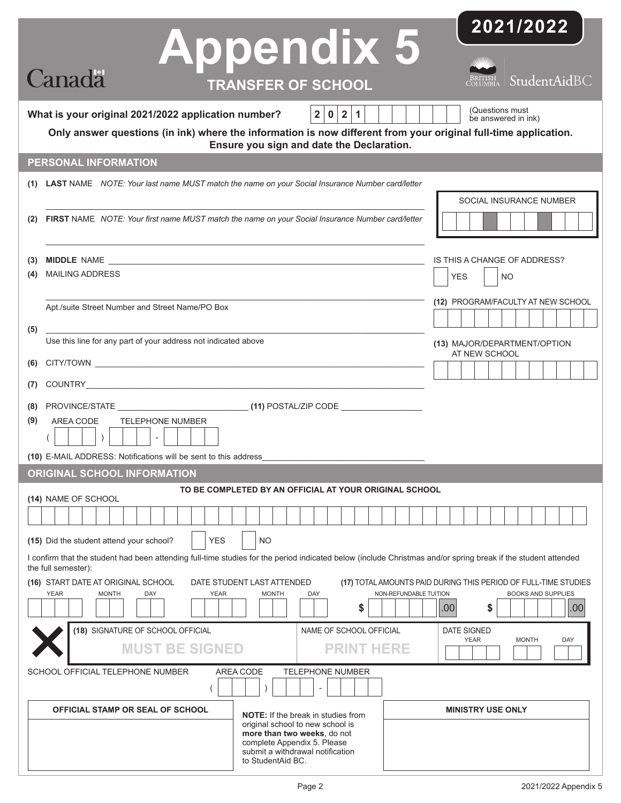|                                                                                                                                                                                                                                                                                                         | <b>Appendix 5</b>                                                                                                                                       | 2021/2022                                         |  |  |  |  |  |
|---------------------------------------------------------------------------------------------------------------------------------------------------------------------------------------------------------------------------------------------------------------------------------------------------------|---------------------------------------------------------------------------------------------------------------------------------------------------------|---------------------------------------------------|--|--|--|--|--|
| <b>Canada</b>                                                                                                                                                                                                                                                                                           | <b>TRANSFER OF SCHOOL</b>                                                                                                                               | StudentAidBC                                      |  |  |  |  |  |
| (Questions must<br>2 0 2 1 <br>What is your original 2021/2022 application number?<br>be answered in ink)<br>Only answer questions (in ink) where the information is now different from your original full-time application.<br>Ensure you sign and date the Declaration.                               |                                                                                                                                                         |                                                   |  |  |  |  |  |
| PERSONAL INFORMATION                                                                                                                                                                                                                                                                                    |                                                                                                                                                         |                                                   |  |  |  |  |  |
|                                                                                                                                                                                                                                                                                                         | (1) LAST NAME NOTE: Your last name MUST match the name on your Social Insurance Number card/letter                                                      |                                                   |  |  |  |  |  |
| FIRST NAME NOTE: Your first name MUST match the name on your Social Insurance Number card/letter                                                                                                                                                                                                        |                                                                                                                                                         |                                                   |  |  |  |  |  |
| MIDDLE NAME <b>And All Accounts</b> and Accounts and Accounts and Accounts and Accounts and Accounts and Accounts and Accounts and Accounts and Accounts and Accounts and Accounts and Accounts and Accounts and Accounts and Accou<br>(3)                                                              |                                                                                                                                                         | IS THIS A CHANGE OF ADDRESS?                      |  |  |  |  |  |
| <b>MAILING ADDRESS</b><br>(4)                                                                                                                                                                                                                                                                           |                                                                                                                                                         |                                                   |  |  |  |  |  |
| Apt./suite Street Number and Street Name/PO Box                                                                                                                                                                                                                                                         | (12) PROGRAM/FACULTY AT NEW SCHOOL                                                                                                                      |                                                   |  |  |  |  |  |
| (5)                                                                                                                                                                                                                                                                                                     |                                                                                                                                                         |                                                   |  |  |  |  |  |
| Use this line for any part of your address not indicated above                                                                                                                                                                                                                                          | (13) MAJOR/DEPARTMENT/OPTION<br>AT NEW SCHOOL                                                                                                           |                                                   |  |  |  |  |  |
|                                                                                                                                                                                                                                                                                                         | (6)                                                                                                                                                     |                                                   |  |  |  |  |  |
| (7)                                                                                                                                                                                                                                                                                                     |                                                                                                                                                         |                                                   |  |  |  |  |  |
| (8)<br><b>TELEPHONE NUMBER</b><br>(9)<br>AREA CODE<br>)<br>$\sim$                                                                                                                                                                                                                                       |                                                                                                                                                         |                                                   |  |  |  |  |  |
| (10) E-MAIL ADDRESS: Notifications will be sent to this address                                                                                                                                                                                                                                         |                                                                                                                                                         |                                                   |  |  |  |  |  |
| <b>ORIGINAL SCHOOL INFORMATION</b>                                                                                                                                                                                                                                                                      |                                                                                                                                                         |                                                   |  |  |  |  |  |
| TO BE COMPLETED BY AN OFFICIAL AT YOUR ORIGINAL SCHOOL<br>(14) NAME OF SCHOOL                                                                                                                                                                                                                           |                                                                                                                                                         |                                                   |  |  |  |  |  |
| (15) Did the student attend your school?<br><b>YES</b><br>NO                                                                                                                                                                                                                                            |                                                                                                                                                         |                                                   |  |  |  |  |  |
| I confirm that the student had been attending full-time studies for the period indicated below (include Christmas and/or spring break if the student attended<br>the full semester):                                                                                                                    |                                                                                                                                                         |                                                   |  |  |  |  |  |
| (16) START DATE AT ORIGINAL SCHOOL<br>DATE STUDENT LAST ATTENDED<br>(17) TOTAL AMOUNTS PAID DURING THIS PERIOD OF FULL-TIME STUDIES<br><b>YEAR</b><br><b>MONTH</b><br><b>DAY</b><br><b>YEAR</b><br><b>MONTH</b><br>NON-REFUNDABLE TUITION<br><b>BOOKS AND SUPPLIES</b><br>DAY<br>\$<br>.00<br>.00<br>\$ |                                                                                                                                                         |                                                   |  |  |  |  |  |
| (18) SIGNATURE OF SCHOOL OFFICIAL                                                                                                                                                                                                                                                                       | NAME OF SCHOOL OFFICIAL                                                                                                                                 | DATE SIGNED<br><b>YEAR</b><br><b>MONTH</b><br>DAY |  |  |  |  |  |
| <b>MUST BE SIGNED</b>                                                                                                                                                                                                                                                                                   | <b>PRINT HERE</b>                                                                                                                                       |                                                   |  |  |  |  |  |
| <b>AREA CODE</b><br>SCHOOL OFFICIAL TELEPHONE NUMBER<br><b>TELEPHONE NUMBER</b>                                                                                                                                                                                                                         |                                                                                                                                                         |                                                   |  |  |  |  |  |
| <b>OFFICIAL STAMP OR SEAL OF SCHOOL</b>                                                                                                                                                                                                                                                                 | <b>NOTE:</b> If the break in studies from                                                                                                               | <b>MINISTRY USE ONLY</b>                          |  |  |  |  |  |
|                                                                                                                                                                                                                                                                                                         | original school to new school is<br>more than two weeks, do not<br>complete Appendix 5. Please<br>submit a withdrawal notification<br>to StudentAid BC. |                                                   |  |  |  |  |  |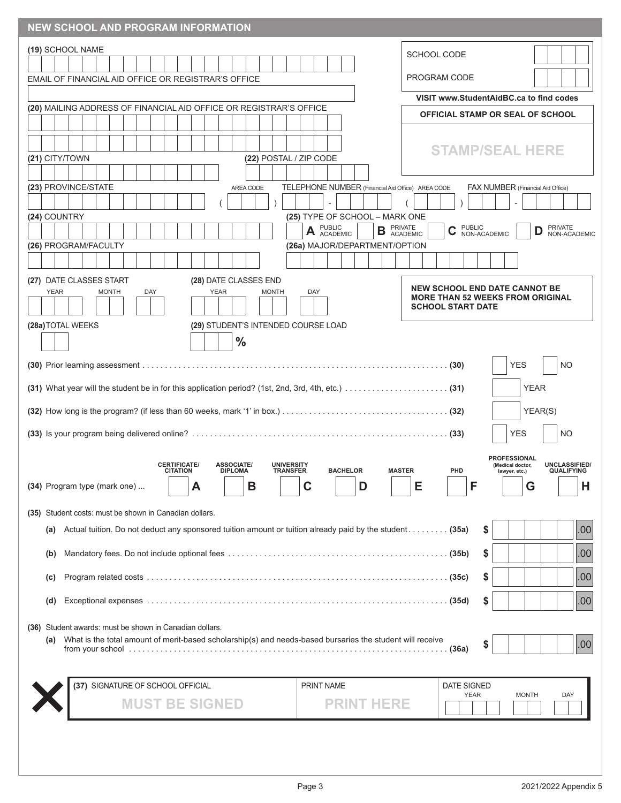| <b>NEW SCHOOL AND PROGRAM INFORMATION</b>                                                                      |                                                                             |                                                       |                                                                                 |                                                                                                       |  |  |
|----------------------------------------------------------------------------------------------------------------|-----------------------------------------------------------------------------|-------------------------------------------------------|---------------------------------------------------------------------------------|-------------------------------------------------------------------------------------------------------|--|--|
| (19) SCHOOL NAME                                                                                               |                                                                             |                                                       | <b>SCHOOL CODE</b>                                                              |                                                                                                       |  |  |
| EMAIL OF FINANCIAL AID OFFICE OR REGISTRAR'S OFFICE                                                            |                                                                             |                                                       | PROGRAM CODE                                                                    |                                                                                                       |  |  |
|                                                                                                                |                                                                             |                                                       |                                                                                 | VISIT www.StudentAidBC.ca to find codes                                                               |  |  |
| (20) MAILING ADDRESS OF FINANCIAL AID OFFICE OR REGISTRAR'S OFFICE                                             |                                                                             |                                                       |                                                                                 | OFFICIAL STAMP OR SEAL OF SCHOOL                                                                      |  |  |
|                                                                                                                |                                                                             |                                                       |                                                                                 |                                                                                                       |  |  |
|                                                                                                                |                                                                             |                                                       |                                                                                 | <b>STAMP/SEAL HERE</b>                                                                                |  |  |
| (21) CITY/TOWN                                                                                                 | (22) POSTAL / ZIP CODE                                                      |                                                       |                                                                                 |                                                                                                       |  |  |
| (23) PROVINCE/STATE                                                                                            | AREA CODE                                                                   | TELEPHONE NUMBER (Financial Aid Office) AREA CODE     |                                                                                 | FAX NUMBER (Financial Aid Office)                                                                     |  |  |
|                                                                                                                |                                                                             | $\overline{\phantom{a}}$                              |                                                                                 |                                                                                                       |  |  |
| (24) COUNTRY                                                                                                   |                                                                             | (25) TYPE OF SCHOOL - MARK ONE                        |                                                                                 | <b>PRIVATE</b>                                                                                        |  |  |
|                                                                                                                |                                                                             | A PUBLIC<br>ACADEMIC<br>(26a) MAJOR/DEPARTMENT/OPTION | <b>B <i>PRIVATE</i> ACADEMIC</b><br><b>PUBLIC</b><br>C<br>NON-ACADEMIC          | D<br>NON-ACADEMIC                                                                                     |  |  |
| (26) PROGRAM/FACULTY                                                                                           |                                                                             |                                                       |                                                                                 |                                                                                                       |  |  |
| (27) DATE CLASSES START                                                                                        | (28) DATE CLASSES END                                                       |                                                       |                                                                                 |                                                                                                       |  |  |
| <b>YEAR</b><br><b>MONTH</b><br>DAY                                                                             | <b>YEAR</b><br><b>MONTH</b>                                                 | DAY                                                   | <b>NEW SCHOOL END DATE CANNOT BE</b><br><b>MORE THAN 52 WEEKS FROM ORIGINAL</b> |                                                                                                       |  |  |
|                                                                                                                |                                                                             |                                                       | <b>SCHOOL START DATE</b>                                                        |                                                                                                       |  |  |
| (28a) TOTAL WEEKS                                                                                              | (29) STUDENT'S INTENDED COURSE LOAD                                         |                                                       |                                                                                 |                                                                                                       |  |  |
|                                                                                                                | $\frac{0}{0}$                                                               |                                                       |                                                                                 |                                                                                                       |  |  |
|                                                                                                                |                                                                             |                                                       |                                                                                 | <b>YES</b><br>NO                                                                                      |  |  |
|                                                                                                                |                                                                             |                                                       |                                                                                 | <b>YEAR</b>                                                                                           |  |  |
|                                                                                                                |                                                                             |                                                       |                                                                                 | YEAR(S)                                                                                               |  |  |
|                                                                                                                |                                                                             |                                                       |                                                                                 | YES<br>NO                                                                                             |  |  |
|                                                                                                                |                                                                             |                                                       |                                                                                 |                                                                                                       |  |  |
| <b>CERTIFICATE/</b><br><b>CITATION</b>                                                                         | <b>ASSOCIATE/</b><br><b>UNIVERSITY</b><br><b>DIPLOMA</b><br><b>TRANSFER</b> | <b>BACHELOR</b>                                       | PHD<br><b>MASTER</b>                                                            | <b>PROFESSIONAL</b><br><b>UNCLASSIFIED/</b><br>(Medical doctor,<br><b>QUALIFYING</b><br>lawyer, etc.) |  |  |
| (34) Program type (mark one)                                                                                   | В<br>А                                                                      | D                                                     | Е<br>F                                                                          | Н<br>G                                                                                                |  |  |
|                                                                                                                |                                                                             |                                                       |                                                                                 |                                                                                                       |  |  |
| (35) Student costs: must be shown in Canadian dollars.                                                         |                                                                             |                                                       |                                                                                 |                                                                                                       |  |  |
| Actual tuition. Do not deduct any sponsored tuition amount or tuition already paid by the student (35a)<br>(a) |                                                                             |                                                       | \$                                                                              | .00                                                                                                   |  |  |
| (b)                                                                                                            |                                                                             |                                                       | \$                                                                              | .00                                                                                                   |  |  |
| (C)                                                                                                            |                                                                             |                                                       | \$                                                                              | .00                                                                                                   |  |  |
| (d)                                                                                                            |                                                                             |                                                       | S                                                                               | .00                                                                                                   |  |  |
| (36) Student awards: must be shown in Canadian dollars.                                                        |                                                                             |                                                       |                                                                                 |                                                                                                       |  |  |
| (a) What is the total amount of merit-based scholarship(s) and needs-based bursaries the student will receive  |                                                                             |                                                       | S                                                                               | .00                                                                                                   |  |  |
|                                                                                                                |                                                                             |                                                       |                                                                                 |                                                                                                       |  |  |
|                                                                                                                |                                                                             |                                                       |                                                                                 |                                                                                                       |  |  |
| (37) SIGNATURE OF SCHOOL OFFICIAL                                                                              |                                                                             | <b>PRINT NAME</b>                                     | <b>DATE SIGNED</b><br><b>YEAR</b>                                               | <b>MONTH</b><br>DAY                                                                                   |  |  |
| <b>MUST BE SIGNED</b>                                                                                          |                                                                             | <b>PRINT HERE</b>                                     |                                                                                 |                                                                                                       |  |  |
|                                                                                                                |                                                                             |                                                       |                                                                                 |                                                                                                       |  |  |
|                                                                                                                |                                                                             |                                                       |                                                                                 |                                                                                                       |  |  |